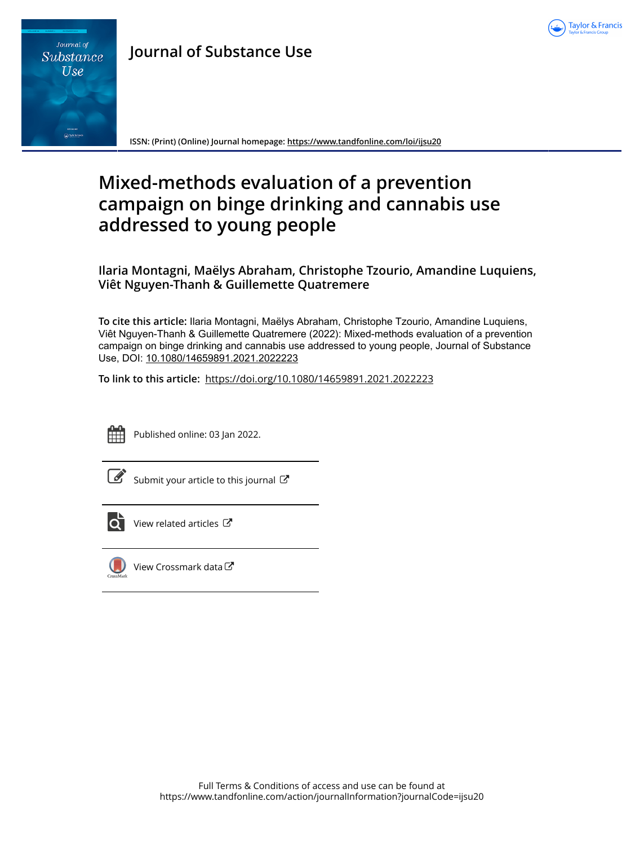



**ISSN: (Print) (Online) Journal homepage:<https://www.tandfonline.com/loi/ijsu20>**

# **Mixed-methods evaluation of a prevention campaign on binge drinking and cannabis use addressed to young people**

**Ilaria Montagni, Maëlys Abraham, Christophe Tzourio, Amandine Luquiens, Viêt Nguyen-Thanh & Guillemette Quatremere**

**To cite this article:** Ilaria Montagni, Maëlys Abraham, Christophe Tzourio, Amandine Luquiens, Viêt Nguyen-Thanh & Guillemette Quatremere (2022): Mixed-methods evaluation of a prevention campaign on binge drinking and cannabis use addressed to young people, Journal of Substance Use, DOI: [10.1080/14659891.2021.2022223](https://www.tandfonline.com/action/showCitFormats?doi=10.1080/14659891.2021.2022223)

**To link to this article:** <https://doi.org/10.1080/14659891.2021.2022223>



Published online: 03 Jan 2022.

| ٦ |
|---|
|   |
|   |

[Submit your article to this journal](https://www.tandfonline.com/action/authorSubmission?journalCode=ijsu20&show=instructions)  $\mathbb{Z}$ 



View related articles



[View Crossmark data](http://crossmark.crossref.org/dialog/?doi=10.1080/14659891.2021.2022223&domain=pdf&date_stamp=2022-01-03)<sup>C</sup>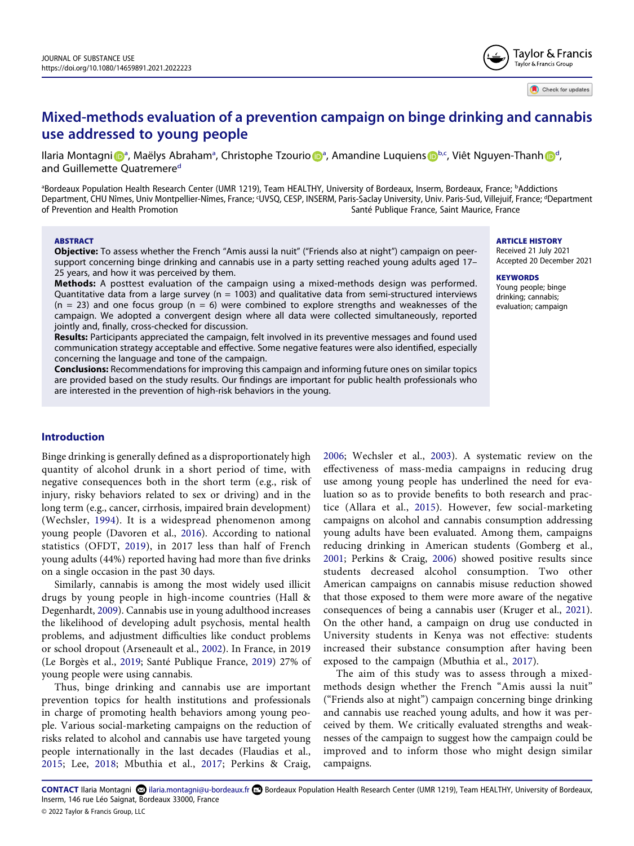

## **Mixed-methods evaluation of a prevention campaign on binge drinking and cannabis use addressed to young people**

Il[a](#page-1-0)ria M[o](http://orcid.org/0000-0002-6517-2984)ntagni D<[s](http://orcid.org/0000-0002-9402-442X)up>a</sup>, Maëlys A[b](#page-1-0)ra[h](http://orcid.org/0000-0002-5383-2404)am<sup>a</sup>, Christophe Tzourio D<sup>a</sup>, Aman[d](#page-1-1)ine Luquiens D<sup>b.c</sup>, Viêt Nguyen-Thanh D<sup>d</sup>, an[d](#page-1-1) Guillemette Quatremere<sup>d</sup>

<span id="page-1-1"></span><span id="page-1-0"></span><sup>a</sup>Bordeaux Population Health Research Center (UMR 1219), Team HEALTHY, University of Bordeaux, Inserm, Bordeaux, France; <sup>b</sup>Addictions Department, CHU Nîmes, Univ Montpellier-Nîmes, France; <sup>c</sup>UVSQ, CESP, INSERM, Paris-Saclay University, Univ. Paris-Sud, Villejuif, France; <sup>d</sup>Department<br>of Prevention and Health Promotion Santé Publique France, Saint Maurice, France

### **ARSTRACT**

**Objective:** To assess whether the French "Amis aussi la nuit" ("Friends also at night") campaign on peersupport concerning binge drinking and cannabis use in a party setting reached young adults aged 17– 25 years, and how it was perceived by them.

**Methods:** A posttest evaluation of the campaign using a mixed-methods design was performed. Quantitative data from a large survey ( $n = 1003$ ) and qualitative data from semi-structured interviews  $(n = 23)$  and one focus group  $(n = 6)$  were combined to explore strengths and weaknesses of the campaign. We adopted a convergent design where all data were collected simultaneously, reported jointly and, finally, cross-checked for discussion.

**Results:** Participants appreciated the campaign, felt involved in its preventive messages and found used communication strategy acceptable and effective. Some negative features were also identified, especially concerning the language and tone of the campaign.

**Conclusions:** Recommendations for improving this campaign and informing future ones on similar topics are provided based on the study results. Our findings are important for public health professionals who are interested in the prevention of high-risk behaviors in the young.

## **Introduction**

<span id="page-1-15"></span>Binge drinking is generally defined as a disproportionately high quantity of alcohol drunk in a short period of time, with negative consequences both in the short term (e.g., risk of injury, risky behaviors related to sex or driving) and in the long term (e.g., cancer, cirrhosis, impaired brain development) (Wechsler, [1994](#page-6-0)). It is a widespread phenomenon among young people (Davoren et al., [2016\)](#page-6-1). According to national statistics (OFDT, [2019\)](#page-6-2), in 2017 less than half of French young adults (44%) reported having had more than five drinks on a single occasion in the past 30 days.

<span id="page-1-12"></span><span id="page-1-7"></span><span id="page-1-4"></span>Similarly, cannabis is among the most widely used illicit drugs by young people in high-income countries (Hall & Degenhardt, [2009](#page-6-3)). Cannabis use in young adulthood increases the likelihood of developing adult psychosis, mental health problems, and adjustment difficulties like conduct problems or school dropout (Arseneault et al., [2002](#page-5-0)). In France, in 2019 (Le Borgès et al., [2019;](#page-6-4) Santé Publique France, [2019](#page-6-5)) 27% of young people were using cannabis.

<span id="page-1-9"></span><span id="page-1-3"></span>Thus, binge drinking and cannabis use are important prevention topics for health institutions and professionals in charge of promoting health behaviors among young people. Various social-marketing campaigns on the reduction of risks related to alcohol and cannabis use have targeted young people internationally in the last decades (Flaudias et al., [2015;](#page-6-6) Lee, [2018;](#page-6-7) Mbuthia et al., [2017](#page-6-8); Perkins & Craig,

<span id="page-1-14"></span><span id="page-1-13"></span><span id="page-1-6"></span><span id="page-1-2"></span>[2006](#page-6-9); Wechsler et al., [2003\)](#page-6-10). A systematic review on the effectiveness of mass-media campaigns in reducing drug use among young people has underlined the need for evaluation so as to provide benefits to both research and practice (Allara et al., [2015](#page-5-1)). However, few social-marketing campaigns on alcohol and cannabis consumption addressing young adults have been evaluated. Among them, campaigns reducing drinking in American students (Gomberg et al., [2001](#page-6-11); Perkins & Craig, [2006](#page-6-9)) showed positive results since students decreased alcohol consumption. Two other American campaigns on cannabis misuse reduction showed that those exposed to them were more aware of the negative consequences of being a cannabis user (Kruger et al., [2021](#page-6-12)). On the other hand, a campaign on drug use conducted in University students in Kenya was not effective: students increased their substance consumption after having been exposed to the campaign (Mbuthia et al., [2017](#page-6-8)).

<span id="page-1-11"></span><span id="page-1-8"></span>The aim of this study was to assess through a mixedmethods design whether the French "Amis aussi la nuit" ("Friends also at night") campaign concerning binge drinking and cannabis use reached young adults, and how it was perceived by them. We critically evaluated strengths and weaknesses of the campaign to suggest how the campaign could be improved and to inform those who might design similar campaigns.

<span id="page-1-10"></span><span id="page-1-5"></span>CONTACT Ilaria Montagni **X** ilaria.montagni@u-bordeaux.fr Bordeaux Population Health Research Center (UMR 1219), Team HEALTHY, University of Bordeaux, Inserm, 146 rue Léo Saignat, Bordeaux 33000, France © 2022 Taylor & Francis Group, LLC

#### ARTICLE HISTORY

Received 21 July 2021 Accepted 20 December 2021

#### **KEYWORDS**

#### Young people; binge drinking; cannabis; evaluation; campaign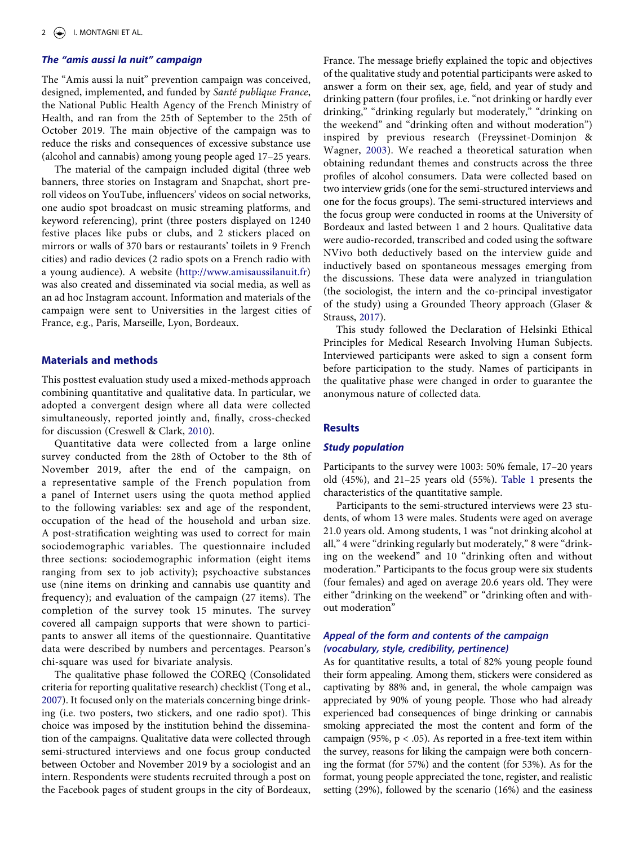## **The "amis aussi la nuit" campaign**

The "Amis aussi la nuit" prevention campaign was conceived, designed, implemented, and funded by Santé publique France, the National Public Health Agency of the French Ministry of Health, and ran from the 25th of September to the 25th of October 2019. The main objective of the campaign was to reduce the risks and consequences of excessive substance use (alcohol and cannabis) among young people aged 17–25 years.

The material of the campaign included digital (three web banners, three stories on Instagram and Snapchat, short preroll videos on YouTube, influencers' videos on social networks, one audio spot broadcast on music streaming platforms, and keyword referencing), print (three posters displayed on 1240 festive places like pubs or clubs, and 2 stickers placed on mirrors or walls of 370 bars or restaurants' toilets in 9 French cities) and radio devices (2 radio spots on a French radio with a young audience). A website [\(http://www.amisaussilanuit.fr\)](http://www.amisaussilanuit.fr) was also created and disseminated via social media, as well as an ad hoc Instagram account. Information and materials of the campaign were sent to Universities in the largest cities of France, e.g., Paris, Marseille, Lyon, Bordeaux.

### **Materials and methods**

This posttest evaluation study used a mixed-methods approach combining quantitative and qualitative data. In particular, we adopted a convergent design where all data were collected simultaneously, reported jointly and, finally, cross-checked for discussion (Creswell & Clark, [2010](#page-6-13)).

<span id="page-2-0"></span>Quantitative data were collected from a large online survey conducted from the 28th of October to the 8th of November 2019, after the end of the campaign, on a representative sample of the French population from a panel of Internet users using the quota method applied to the following variables: sex and age of the respondent, occupation of the head of the household and urban size. A post-stratification weighting was used to correct for main sociodemographic variables. The questionnaire included three sections: sociodemographic information (eight items ranging from sex to job activity); psychoactive substances use (nine items on drinking and cannabis use quantity and frequency); and evaluation of the campaign (27 items). The completion of the survey took 15 minutes. The survey covered all campaign supports that were shown to participants to answer all items of the questionnaire. Quantitative data were described by numbers and percentages. Pearson's chi-square was used for bivariate analysis.

<span id="page-2-3"></span>The qualitative phase followed the COREQ (Consolidated criteria for reporting qualitative research) checklist (Tong et al., [2007](#page-6-14)). It focused only on the materials concerning binge drinking (i.e. two posters, two stickers, and one radio spot). This choice was imposed by the institution behind the dissemination of the campaigns. Qualitative data were collected through semi-structured interviews and one focus group conducted between October and November 2019 by a sociologist and an intern. Respondents were students recruited through a post on the Facebook pages of student groups in the city of Bordeaux, <span id="page-2-1"></span>France. The message briefly explained the topic and objectives of the qualitative study and potential participants were asked to answer a form on their sex, age, field, and year of study and drinking pattern (four profiles, i.e. "not drinking or hardly ever drinking," "drinking regularly but moderately," "drinking on the weekend" and "drinking often and without moderation") inspired by previous research (Freyssinet-Dominjon & Wagner, [2003\)](#page-6-15). We reached a theoretical saturation when obtaining redundant themes and constructs across the three profiles of alcohol consumers. Data were collected based on two interview grids (one for the semi-structured interviews and one for the focus groups). The semi-structured interviews and the focus group were conducted in rooms at the University of Bordeaux and lasted between 1 and 2 hours. Qualitative data were audio-recorded, transcribed and coded using the software NVivo both deductively based on the interview guide and inductively based on spontaneous messages emerging from the discussions. These data were analyzed in triangulation (the sociologist, the intern and the co-principal investigator of the study) using a Grounded Theory approach (Glaser & Strauss, [2017\)](#page-6-16).

<span id="page-2-2"></span>This study followed the Declaration of Helsinki Ethical Principles for Medical Research Involving Human Subjects. Interviewed participants were asked to sign a consent form before participation to the study. Names of participants in the qualitative phase were changed in order to guarantee the anonymous nature of collected data.

### **Results**

## **Study population**

Participants to the survey were 1003: 50% female, 17–20 years old (45%), and 21–25 years old (55%). [Table 1](#page-3-0) presents the characteristics of the quantitative sample.

Participants to the semi-structured interviews were 23 students, of whom 13 were males. Students were aged on average 21.0 years old. Among students, 1 was "not drinking alcohol at all," 4 were "drinking regularly but moderately," 8 were "drinking on the weekend" and 10 "drinking often and without moderation." Participants to the focus group were six students (four females) and aged on average 20.6 years old. They were either "drinking on the weekend" or "drinking often and without moderation"

## **Appeal of the form and contents of the campaign (vocabulary, style, credibility, pertinence)**

As for quantitative results, a total of 82% young people found their form appealing. Among them, stickers were considered as captivating by 88% and, in general, the whole campaign was appreciated by 90% of young people. Those who had already experienced bad consequences of binge drinking or cannabis smoking appreciated the most the content and form of the campaign (95%,  $p < .05$ ). As reported in a free-text item within the survey, reasons for liking the campaign were both concerning the format (for 57%) and the content (for 53%). As for the format, young people appreciated the tone, register, and realistic setting (29%), followed by the scenario (16%) and the easiness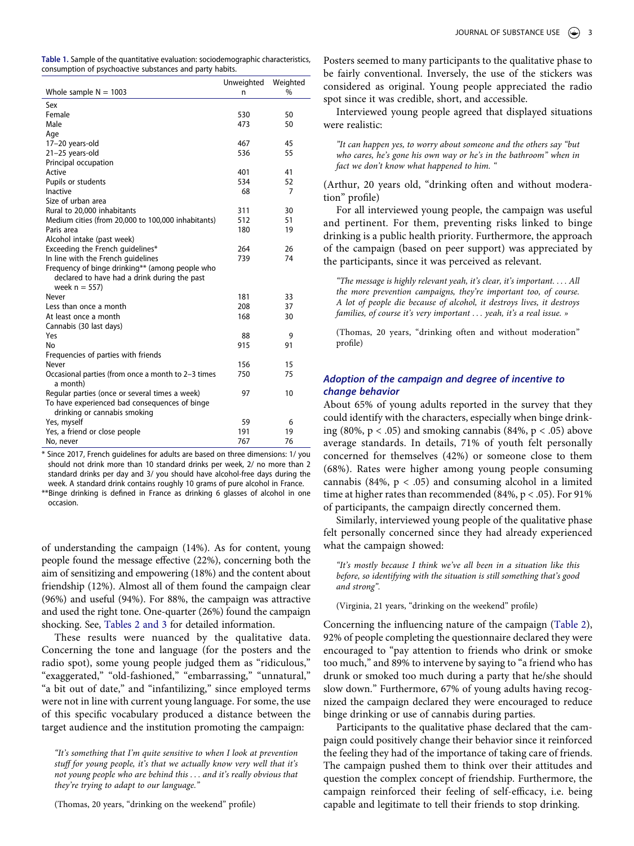<span id="page-3-0"></span>

| Table 1. Sample of the quantitative evaluation: sociodemographic characteristics, |
|-----------------------------------------------------------------------------------|
| consumption of psychoactive substances and party habits.                          |

|                                                                | Unweighted | Weighted |
|----------------------------------------------------------------|------------|----------|
| Whole sample $N = 1003$                                        | n          | $\%$     |
| Sex                                                            |            |          |
| Female                                                         | 530        | 50       |
| Male                                                           | 473        | 50       |
| Age                                                            |            |          |
| 17-20 years-old                                                | 467        | 45       |
| 21-25 years-old                                                | 536        | 55       |
| Principal occupation                                           |            |          |
| Active                                                         | 401        | 41       |
| Pupils or students                                             | 534        | 52       |
| Inactive                                                       | 68         | 7        |
| Size of urban area                                             |            |          |
| Rural to 20,000 inhabitants                                    | 311        | 30       |
| Medium cities (from 20,000 to 100,000 inhabitants)             | 512        | 51       |
| Paris area                                                     | 180        | 19       |
| Alcohol intake (past week)                                     |            |          |
| Exceeding the French guidelines*                               | 264        | 26       |
| In line with the French quidelines                             | 739        | 74       |
| Frequency of binge drinking** (among people who                |            |          |
| declared to have had a drink during the past                   |            |          |
| week $n = 557$ )                                               |            |          |
| Never                                                          | 181        | 33       |
| Less than once a month                                         | 208        | 37       |
| At least once a month                                          | 168        | 30       |
| Cannabis (30 last days)                                        |            |          |
| Yes                                                            | 88         | 9        |
| No                                                             | 915        | 91       |
| Frequencies of parties with friends                            |            |          |
| Never                                                          | 156        | 15       |
| Occasional parties (from once a month to 2-3 times<br>a month) | 750        | 75       |
| Regular parties (once or several times a week)                 | 97         | 10       |
| To have experienced bad consequences of binge                  |            |          |
| drinking or cannabis smoking                                   |            |          |
| Yes, myself                                                    | 59         | 6        |
| Yes, a friend or close people                                  | 191        | 19       |
| No, never                                                      | 767        | 76       |
|                                                                |            |          |

\* Since 2017, French guidelines for adults are based on three dimensions: 1/ you should not drink more than 10 standard drinks per week, 2/ no more than 2 standard drinks per day and 3/ you should have alcohol-free days during the week. A standard drink contains roughly 10 grams of pure alcohol in France.

\*\*Binge drinking is defined in France as drinking 6 glasses of alcohol in one occasion.

of understanding the campaign (14%). As for content, young people found the message effective (22%), concerning both the aim of sensitizing and empowering (18%) and the content about friendship (12%). Almost all of them found the campaign clear (96%) and useful (94%). For 88%, the campaign was attractive and used the right tone. One-quarter (26%) found the campaign shocking. See, [Tables 2 and](#page-4-0) [3](#page-4-1) for detailed information.

These results were nuanced by the qualitative data. Concerning the tone and language (for the posters and the radio spot), some young people judged them as "ridiculous," "exaggerated," "old-fashioned," "embarrassing," "unnatural," "a bit out of date," and "infantilizing," since employed terms were not in line with current young language. For some, the use of this specific vocabulary produced a distance between the target audience and the institution promoting the campaign:

"It's something that I'm quite sensitive to when I look at prevention stuff for young people, it's that we actually know very well that it's not young people who are behind this . . . and it's really obvious that they're trying to adapt to our language."

Posters seemed to many participants to the qualitative phase to be fairly conventional. Inversely, the use of the stickers was considered as original. Young people appreciated the radio spot since it was credible, short, and accessible.

Interviewed young people agreed that displayed situations were realistic:

"It can happen yes, to worry about someone and the others say "but who cares, he's gone his own way or he's in the bathroom" when in fact we don't know what happened to him. "

(Arthur, 20 years old, "drinking often and without moderation" profile)

For all interviewed young people, the campaign was useful and pertinent. For them, preventing risks linked to binge drinking is a public health priority. Furthermore, the approach of the campaign (based on peer support) was appreciated by the participants, since it was perceived as relevant.

"The message is highly relevant yeah, it's clear, it's important. . . . All the more prevention campaigns, they're important too, of course. A lot of people die because of alcohol, it destroys lives, it destroys families, of course it's very important . . . yeah, it's a real issue. »

(Thomas, 20 years, "drinking often and without moderation" profile)

## **Adoption of the campaign and degree of incentive to change behavior**

About 65% of young adults reported in the survey that they could identify with the characters, especially when binge drinking (80%,  $p < .05$ ) and smoking cannabis (84%,  $p < .05$ ) above average standards. In details, 71% of youth felt personally concerned for themselves (42%) or someone close to them (68%). Rates were higher among young people consuming cannabis (84%,  $p < .05$ ) and consuming alcohol in a limited time at higher rates than recommended (84%, p < .05). For 91% of participants, the campaign directly concerned them.

Similarly, interviewed young people of the qualitative phase felt personally concerned since they had already experienced what the campaign showed:

"It's mostly because I think we've all been in a situation like this before, so identifying with the situation is still something that's good and strong".

(Virginia, 21 years, "drinking on the weekend" profile)

Concerning the influencing nature of the campaign [\(Table 2](#page-4-0)), 92% of people completing the questionnaire declared they were encouraged to "pay attention to friends who drink or smoke too much," and 89% to intervene by saying to "a friend who has drunk or smoked too much during a party that he/she should slow down." Furthermore, 67% of young adults having recognized the campaign declared they were encouraged to reduce binge drinking or use of cannabis during parties.

Participants to the qualitative phase declared that the campaign could positively change their behavior since it reinforced the feeling they had of the importance of taking care of friends. The campaign pushed them to think over their attitudes and question the complex concept of friendship. Furthermore, the campaign reinforced their feeling of self-efficacy, i.e. being capable and legitimate to tell their friends to stop drinking.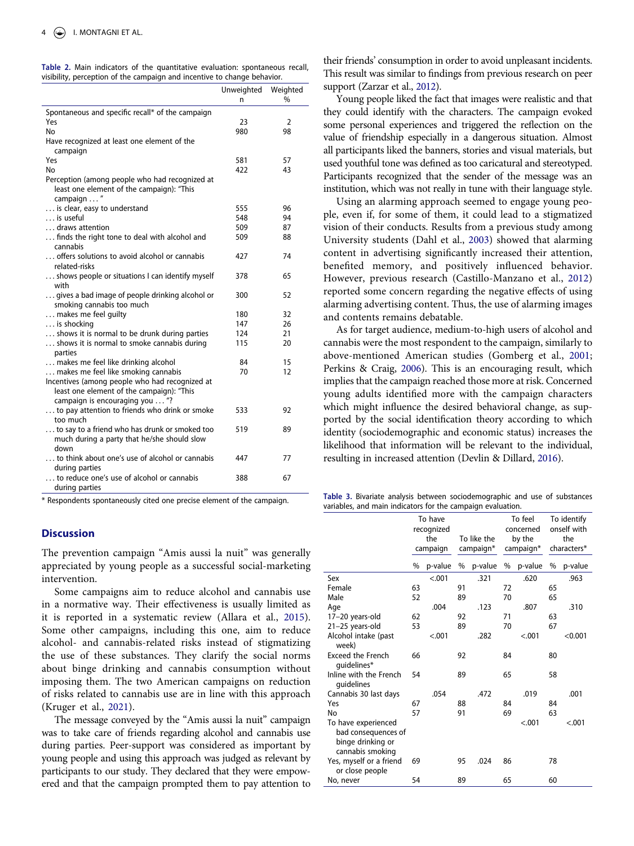<span id="page-4-0"></span>

|                                                                          |  |  |  |  |  |  |  | Table 2. Main indicators of the quantitative evaluation: spontaneous recall, |  |
|--------------------------------------------------------------------------|--|--|--|--|--|--|--|------------------------------------------------------------------------------|--|
| visibility, perception of the campaign and incentive to change behavior. |  |  |  |  |  |  |  |                                                                              |  |

|                                                                                                                                | Unweighted | Weighted |
|--------------------------------------------------------------------------------------------------------------------------------|------------|----------|
|                                                                                                                                | n          | %        |
| Spontaneous and specific recall* of the campaign                                                                               |            |          |
| Yes                                                                                                                            | 23         | 2        |
| No                                                                                                                             | 980        | 98       |
| Have recognized at least one element of the<br>campaign                                                                        |            |          |
| Yes                                                                                                                            | 581        | 57       |
| No                                                                                                                             | 422        | 43       |
| Perception (among people who had recognized at                                                                                 |            |          |
| least one element of the campaign): "This<br>campaign "                                                                        |            |          |
| is clear, easy to understand                                                                                                   | 555        | 96       |
| is useful                                                                                                                      | 548        | 94       |
| draws attention                                                                                                                | 509        | 87       |
| finds the right tone to deal with alcohol and                                                                                  | 509        | 88       |
| cannabis                                                                                                                       |            |          |
| offers solutions to avoid alcohol or cannabis<br>related-risks                                                                 | 427        | 74       |
| shows people or situations I can identify myself<br>with                                                                       | 378        | 65       |
| gives a bad image of people drinking alcohol or                                                                                | 300        | 52       |
| smoking cannabis too much                                                                                                      |            |          |
| makes me feel quilty                                                                                                           | 180        | 32       |
| is shocking                                                                                                                    | 147        | 26       |
| shows it is normal to be drunk during parties                                                                                  | 124        | 21       |
| shows it is normal to smoke cannabis during<br>parties                                                                         | 115        | 20       |
| makes me feel like drinking alcohol                                                                                            | 84         | 15       |
| makes me feel like smoking cannabis                                                                                            | 70         | 12       |
| Incentives (among people who had recognized at<br>least one element of the campaign): "This<br>campaign is encouraging you  "? |            |          |
| to pay attention to friends who drink or smoke                                                                                 | 533        | 92       |
| too much                                                                                                                       |            |          |
| to say to a friend who has drunk or smoked too<br>much during a party that he/she should slow<br>down                          | 519        | 89       |
| to think about one's use of alcohol or cannabis<br>during parties                                                              | 447        | 77       |
| to reduce one's use of alcohol or cannabis<br>during parties                                                                   | 388        | 67       |

## **Discussion**

The prevention campaign "Amis aussi la nuit" was generally appreciated by young people as a successful social-marketing intervention.

Some campaigns aim to reduce alcohol and cannabis use in a normative way. Their effectiveness is usually limited as it is reported in a systematic review (Allara et al., [2015](#page-5-1)). Some other campaigns, including this one, aim to reduce alcohol- and cannabis-related risks instead of stigmatizing the use of these substances. They clarify the social norms about binge drinking and cannabis consumption without imposing them. The two American campaigns on reduction of risks related to cannabis use are in line with this approach (Kruger et al., [2021\)](#page-6-12).

The message conveyed by the "Amis aussi la nuit" campaign was to take care of friends regarding alcohol and cannabis use during parties. Peer-support was considered as important by young people and using this approach was judged as relevant by participants to our study. They declared that they were empowered and that the campaign prompted them to pay attention to their friends' consumption in order to avoid unpleasant incidents. This result was similar to findings from previous research on peer support (Zarzar et al., [2012](#page-6-17)).

<span id="page-4-5"></span>Young people liked the fact that images were realistic and that they could identify with the characters. The campaign evoked some personal experiences and triggered the reflection on the value of friendship especially in a dangerous situation. Almost all participants liked the banners, stories and visual materials, but used youthful tone was defined as too caricatural and stereotyped. Participants recognized that the sender of the message was an institution, which was not really in tune with their language style.

<span id="page-4-3"></span>Using an alarming approach seemed to engage young people, even if, for some of them, it could lead to a stigmatized vision of their conducts. Results from a previous study among University students (Dahl et al., [2003](#page-6-18)) showed that alarming content in advertising significantly increased their attention, benefited memory, and positively influenced behavior. However, previous research (Castillo-Manzano et al., [2012\)](#page-5-2) reported some concern regarding the negative effects of using alarming advertising content. Thus, the use of alarming images and contents remains debatable.

<span id="page-4-2"></span>As for target audience, medium-to-high users of alcohol and cannabis were the most respondent to the campaign, similarly to above-mentioned American studies (Gomberg et al., [2001;](#page-6-11) Perkins & Craig, [2006\)](#page-6-9). This is an encouraging result, which implies that the campaign reached those more at risk. Concerned young adults identified more with the campaign characters which might influence the desired behavioral change, as supported by the social identification theory according to which identity (sociodemographic and economic status) increases the likelihood that information will be relevant to the individual, resulting in increased attention (Devlin & Dillard, [2016](#page-6-19)).

\* Respondents spontaneously cited one precise element of the campaign. **Table 3.** Bivariate analysis between sociodemographic and use of substances variables, and main indicators for the campaign evaluation.

<span id="page-4-4"></span><span id="page-4-1"></span>

|                                                                 |          | To have<br>recognized |             |         |           | To feel<br>concerned |             | To identify<br>onself with |  |
|-----------------------------------------------------------------|----------|-----------------------|-------------|---------|-----------|----------------------|-------------|----------------------------|--|
|                                                                 |          | the                   | To like the |         | by the    |                      | the         |                            |  |
|                                                                 |          |                       | campaign*   |         | campaign* |                      | characters* |                            |  |
|                                                                 | campaign |                       |             |         |           |                      |             |                            |  |
|                                                                 | %        | p-value               |             | p-value | %         | p-value              | %           | p-value                    |  |
| Sex                                                             |          | < .001                |             | .321    |           | .620                 |             | .963                       |  |
| Female                                                          | 63       |                       | 91          |         | 72        |                      | 65          |                            |  |
| Male                                                            | 52       |                       | 89          |         | 70        |                      | 65          |                            |  |
| Age                                                             |          | .004                  |             | .123    |           | .807                 |             | .310                       |  |
| 17-20 years-old                                                 | 62       |                       | 92          |         | 71        |                      | 63          |                            |  |
| 21-25 years-old                                                 | 53       |                       | 89          |         | 70        |                      | 67          |                            |  |
| Alcohol intake (past<br>week)                                   |          | < .001                |             | .282    |           | < .001               |             | < 0.001                    |  |
| <b>Exceed the French</b><br>quidelines*                         | 66       |                       | 92          |         | 84        |                      | 80          |                            |  |
| Inline with the French<br>guidelines                            | 54       |                       | 89          |         | 65        |                      | 58          |                            |  |
| Cannabis 30 last days                                           |          | .054                  |             | .472    |           | .019                 |             | .001                       |  |
| Yes                                                             | 67       |                       | 88          |         | 84        |                      | 84          |                            |  |
| No                                                              | 57       |                       | 91          |         | 69        |                      | 63          |                            |  |
| To have experienced<br>bad consequences of<br>binge drinking or |          |                       |             |         |           | < .001               |             | < .001                     |  |
| cannabis smoking                                                |          |                       |             |         |           |                      |             |                            |  |
| Yes, myself or a friend<br>or close people                      | 69       |                       | 95          | .024    | 86        |                      | 78          |                            |  |
| No, never                                                       | 54       |                       | 89          |         | 65        |                      | 60          |                            |  |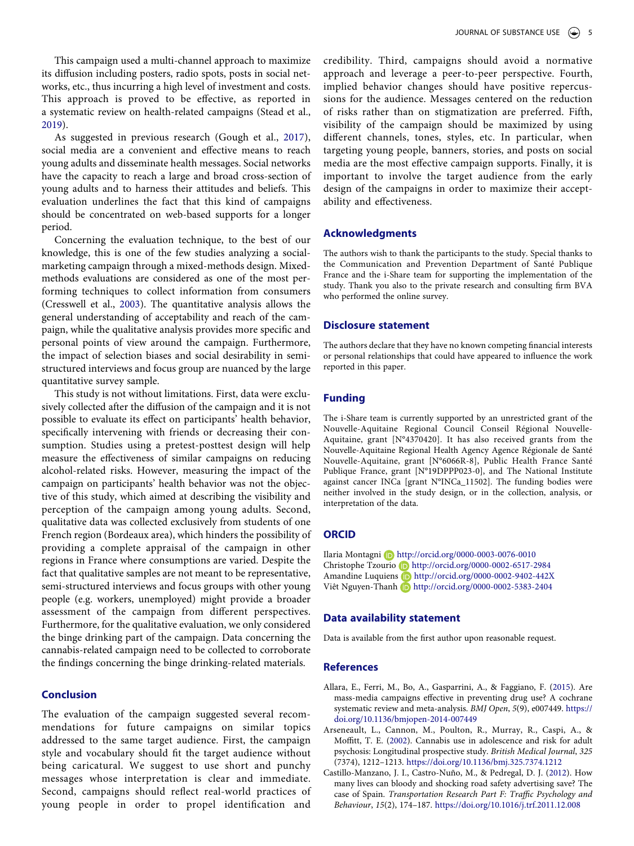This campaign used a multi-channel approach to maximize its diffusion including posters, radio spots, posts in social networks, etc., thus incurring a high level of investment and costs. This approach is proved to be effective, as reported in a systematic review on health-related campaigns (Stead et al., [2019](#page-6-20)).

<span id="page-5-5"></span><span id="page-5-4"></span>As suggested in previous research (Gough et al., [2017](#page-6-21)), social media are a convenient and effective means to reach young adults and disseminate health messages. Social networks have the capacity to reach a large and broad cross-section of young adults and to harness their attitudes and beliefs. This evaluation underlines the fact that this kind of campaigns should be concentrated on web-based supports for a longer period.

<span id="page-5-3"></span>Concerning the evaluation technique, to the best of our knowledge, this is one of the few studies analyzing a socialmarketing campaign through a mixed-methods design. Mixedmethods evaluations are considered as one of the most performing techniques to collect information from consumers (Cresswell et al., [2003](#page-6-22)). The quantitative analysis allows the general understanding of acceptability and reach of the campaign, while the qualitative analysis provides more specific and personal points of view around the campaign. Furthermore, the impact of selection biases and social desirability in semistructured interviews and focus group are nuanced by the large quantitative survey sample.

This study is not without limitations. First, data were exclusively collected after the diffusion of the campaign and it is not possible to evaluate its effect on participants' health behavior, specifically intervening with friends or decreasing their consumption. Studies using a pretest-posttest design will help measure the effectiveness of similar campaigns on reducing alcohol-related risks. However, measuring the impact of the campaign on participants' health behavior was not the objective of this study, which aimed at describing the visibility and perception of the campaign among young adults. Second, qualitative data was collected exclusively from students of one French region (Bordeaux area), which hinders the possibility of providing a complete appraisal of the campaign in other regions in France where consumptions are varied. Despite the fact that qualitative samples are not meant to be representative, semi-structured interviews and focus groups with other young people (e.g. workers, unemployed) might provide a broader assessment of the campaign from different perspectives. Furthermore, for the qualitative evaluation, we only considered the binge drinking part of the campaign. Data concerning the cannabis-related campaign need to be collected to corroborate the findings concerning the binge drinking-related materials.

## **Conclusion**

The evaluation of the campaign suggested several recommendations for future campaigns on similar topics addressed to the same target audience. First, the campaign style and vocabulary should fit the target audience without being caricatural. We suggest to use short and punchy messages whose interpretation is clear and immediate. Second, campaigns should reflect real-world practices of young people in order to propel identification and credibility. Third, campaigns should avoid a normative approach and leverage a peer-to-peer perspective. Fourth, implied behavior changes should have positive repercussions for the audience. Messages centered on the reduction of risks rather than on stigmatization are preferred. Fifth, visibility of the campaign should be maximized by using different channels, tones, styles, etc. In particular, when targeting young people, banners, stories, and posts on social media are the most effective campaign supports. Finally, it is important to involve the target audience from the early design of the campaigns in order to maximize their acceptability and effectiveness.

### **Acknowledgments**

The authors wish to thank the participants to the study. Special thanks to the Communication and Prevention Department of Santé Publique France and the i-Share team for supporting the implementation of the study. Thank you also to the private research and consulting firm BVA who performed the online survey.

### **Disclosure statement**

The authors declare that they have no known competing financial interests or personal relationships that could have appeared to influence the work reported in this paper.

## **Funding**

The i-Share team is currently supported by an unrestricted grant of the Nouvelle-Aquitaine Regional Council Conseil Régional Nouvelle-Aquitaine, grant [N°4370420]. It has also received grants from the Nouvelle-Aquitaine Regional Health Agency Agence Régionale de Santé Nouvelle-Aquitaine, grant [N°6066R-8], Public Health France Santé Publique France, grant [N°19DPPP023-0], and The National Institute against cancer INCa [grant N°INCa\_11502]. The funding bodies were neither involved in the study design, or in the collection, analysis, or interpretation of the data.

## **ORCID**

Ilaria Montagni http://orcid.org/0000-0003-0076-0010 Christophe Tzourio D http://orcid.org/0000-0002-6517-2984 Amandine Luquiens D http://orcid.org/0000-0002-9402-442X Viêt Nguyen-Thanh b http://orcid.org/0000-0002-5383-2404

## **Data availability statement**

Data is available from the first author upon reasonable request.

## **References**

- <span id="page-5-1"></span>Allara, E., Ferri, M., Bo, A., Gasparrini, A., & Faggiano, F. ([2015](#page-1-2)). Are mass-media campaigns effective in preventing drug use? A cochrane systematic review and meta-analysis. BMJ Open, 5(9), e007449. [https://](https://doi.org/10.1136/bmjopen-2014-007449)  [doi.org/10.1136/bmjopen-2014-007449](https://doi.org/10.1136/bmjopen-2014-007449)
- <span id="page-5-0"></span>Arseneault, L., Cannon, M., Poulton, R., Murray, R., Caspi, A., & Moffitt, T. E. [\(2002](#page-1-3)). Cannabis use in adolescence and risk for adult psychosis: Longitudinal prospective study. British Medical Journal, 325 (7374), 1212–1213. <https://doi.org/10.1136/bmj.325.7374.1212>
- <span id="page-5-2"></span>Castillo-Manzano, J. I., Castro-Nuño, M., & Pedregal, D. J. [\(2012\)](#page-4-2). How many lives can bloody and shocking road safety advertising save? The case of Spain. Transportation Research Part F: Traffic Psychology and Behaviour, 15(2), 174–187. <https://doi.org/10.1016/j.trf.2011.12.008>